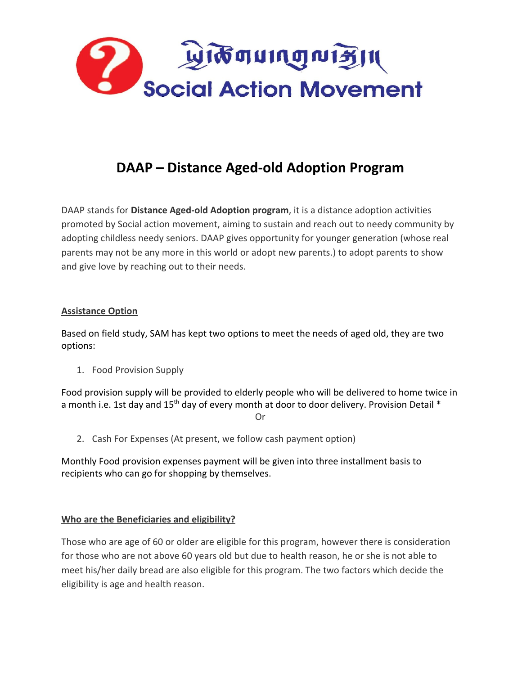

# **DAAP – Distance Aged-old Adoption Program**

DAAP stands for **Distance Aged-old Adoption program**, it is a distance adoption activities promoted by Social action movement, aiming to sustain and reach out to needy community by adopting childless needy seniors. DAAP gives opportunity for younger generation (whose real parents may not be any more in this world or adopt new parents.) to adopt parents to show and give love by reaching out to their needs.

# **Assistance Option**

Based on field study, SAM has kept two options to meet the needs of aged old, they are two options:

1. Food Provision Supply

Food provision supply will be provided to elderly people who will be delivered to home twice in a month i.e. 1st day and  $15<sup>th</sup>$  day of every month at door to door delivery. Provision Detail  $*$ 

Or

2. Cash For Expenses (At present, we follow cash payment option)

Monthly Food provision expenses payment will be given into three installment basis to recipients who can go for shopping by themselves.

# **Who are the Beneficiaries and eligibility?**

Those who are age of 60 or older are eligible for this program, however there is consideration for those who are not above 60 years old but due to health reason, he or she is not able to meet his/her daily bread are also eligible for this program. The two factors which decide the eligibility is age and health reason.